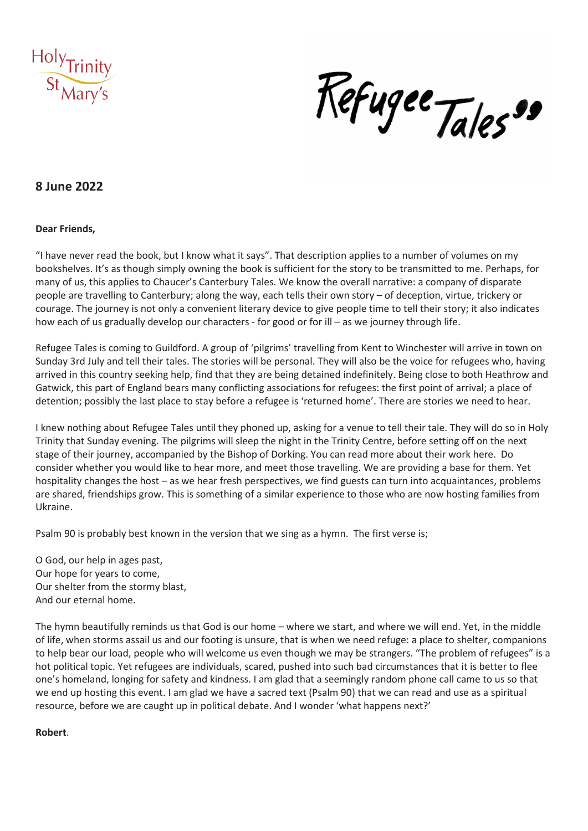

Kefugee Tales"

# **8 June 2022**

#### **Dear Friends,**

"I have never read the book, but I know what it says". That description applies to a number of volumes on my bookshelves. It's as though simply owning the book is sufficient for the story to be transmitted to me. Perhaps, for many of us, this applies to Chaucer's Canterbury Tales. We know the overall narrative: a company of disparate people are travelling to Canterbury; along the way, each tells their own story – of deception, virtue, trickery or courage. The journey is not only a convenient literary device to give people time to tell their story; it also indicates how each of us gradually develop our characters - for good or for ill – as we journey through life.

Refugee Tales is coming to Guildford. A group of 'pilgrims' travelling from Kent to Winchester will arrive in town on Sunday 3rd July and tell their tales. The stories will be personal. They will also be the voice for refugees who, having arrived in this country seeking help, find that they are being detained indefinitely. Being close to both Heathrow and Gatwick, this part of England bears many conflicting associations for refugees: the first point of arrival; a place of detention; possibly the last place to stay before a refugee is 'returned home'. There are stories we need to hear.

I knew nothing about Refugee Tales until they phoned up, asking for a venue to tell their tale. They will do so in Holy Trinity that Sunday evening. The pilgrims will sleep the night in the Trinity Centre, before setting off on the next stage of their journey, accompanied by the Bishop of Dorking. You can read more about their work here. Do consider whether you would like to hear more, and meet those travelling. We are providing a base for them. Yet hospitality changes the host – as we hear fresh perspectives, we find guests can turn into acquaintances, problems are shared, friendships grow. This is something of a similar experience to those who are now hosting families from Ukraine.

Psalm 90 is probably best known in the version that we sing as a hymn. The first verse is;

O God, our help in ages past, Our hope for years to come, Our shelter from the stormy blast, And our eternal home.

The hymn beautifully reminds us that God is our home – where we start, and where we will end. Yet, in the middle of life, when storms assail us and our footing is unsure, that is when we need refuge: a place to shelter, companions to help bear our load, people who will welcome us even though we may be strangers. "The problem of refugees" is a hot political topic. Yet refugees are individuals, scared, pushed into such bad circumstances that it is better to flee one's homeland, longing for safety and kindness. I am glad that a seemingly random phone call came to us so that we end up hosting this event. I am glad we have a sacred text (Psalm 90) that we can read and use as a spiritual resource, before we are caught up in political debate. And I wonder 'what happens next?'

**Robert**.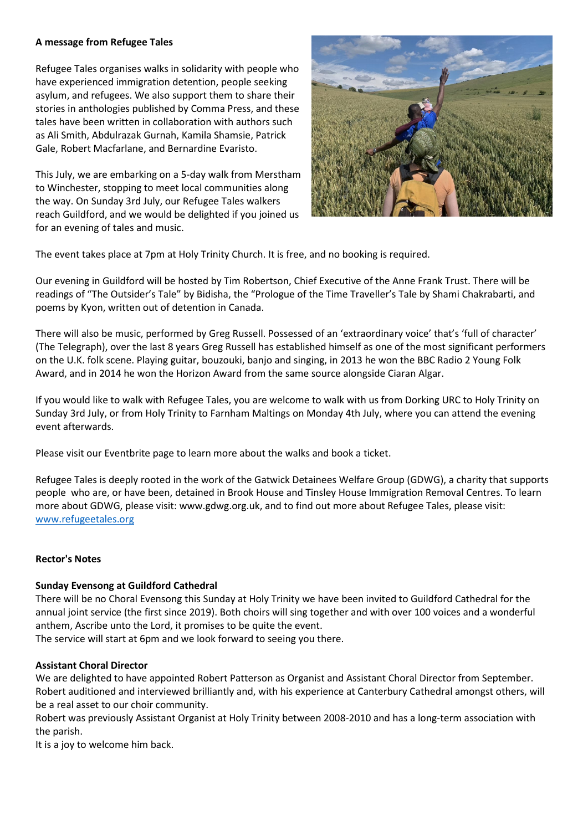### **A message from Refugee Tales**

Refugee Tales organises walks in solidarity with people who have experienced immigration detention, people seeking asylum, and refugees. We also support them to share their stories in anthologies published by Comma Press, and these tales have been written in collaboration with authors such as Ali Smith, Abdulrazak Gurnah, Kamila Shamsie, Patrick Gale, Robert Macfarlane, and Bernardine Evaristo.

This July, we are embarking on a 5-day walk from Merstham to Winchester, stopping to meet local communities along the way. On Sunday 3rd July, our Refugee Tales walkers reach Guildford, and we would be delighted if you joined us for an evening of tales and music.



The event takes place at 7pm at Holy Trinity Church. It is free, and no booking is required.

Our evening in Guildford will be hosted by Tim Robertson, Chief Executive of the Anne Frank Trust. There will be readings of "The Outsider's Tale" by Bidisha, the "Prologue of the Time Traveller's Tale by Shami Chakrabarti, and poems by Kyon, written out of detention in Canada.

There will also be music, performed by Greg Russell. Possessed of an 'extraordinary voice' that's 'full of character' (The Telegraph), over the last 8 years Greg Russell has established himself as one of the most significant performers on the U.K. folk scene. Playing guitar, bouzouki, banjo and singing, in 2013 he won the BBC Radio 2 Young Folk Award, and in 2014 he won the Horizon Award from the same source alongside Ciaran Algar.

If you would like to walk with Refugee Tales, you are welcome to walk with us from Dorking URC to Holy Trinity on Sunday 3rd July, or from Holy Trinity to Farnham Maltings on Monday 4th July, where you can attend the evening event afterwards.

Please visit our Eventbrite page to learn more about the walks and book a ticket.

Refugee Tales is deeply rooted in the work of the Gatwick Detainees Welfare Group (GDWG), a charity that supports people who are, or have been, detained in Brook House and Tinsley House Immigration Removal Centres. To learn more about GDWG, please visit: www.gdwg.org.uk, and to find out more about Refugee Tales, please visit: [www.refugeetales.org](http://www.refugeetales.org/)

## **Rector's Notes**

#### **Sunday Evensong at Guildford Cathedral**

There will be no Choral Evensong this Sunday at Holy Trinity we have been invited to Guildford Cathedral for the annual joint service (the first since 2019). Both choirs will sing together and with over 100 voices and a wonderful anthem, Ascribe unto the Lord, it promises to be quite the event.

The service will start at 6pm and we look forward to seeing you there.

#### **Assistant Choral Director**

We are delighted to have appointed Robert Patterson as Organist and Assistant Choral Director from September. Robert auditioned and interviewed brilliantly and, with his experience at Canterbury Cathedral amongst others, will be a real asset to our choir community.

Robert was previously Assistant Organist at Holy Trinity between 2008-2010 and has a long-term association with the parish.

It is a joy to welcome him back.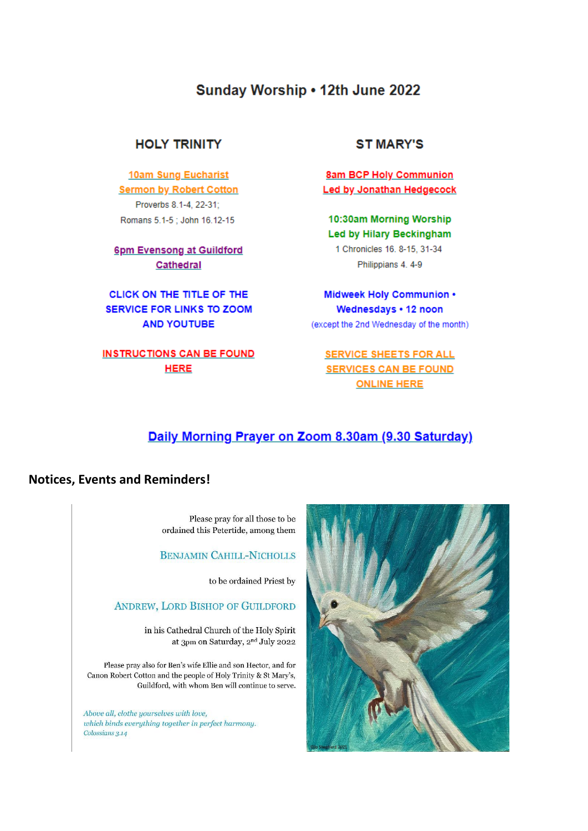# Sunday Worship . 12th June 2022

# **HOLY TRINITY**

**10am Sung Eucharist Sermon by Robert Cotton** Proverbs 8.1-4, 22-31; Romans 5.1-5; John 16.12-15

## 6pm Evensong at Guildford Cathedral

CLICK ON THE TITLE OF THE **SERVICE FOR LINKS TO ZOOM AND YOUTUBE** 

# **INSTRUCTIONS CAN BE FOUND HERE**

## **ST MARY'S**

**8am BCP Holy Communion Led by Jonathan Hedgecock** 

10:30am Morning Worship **Led by Hilary Beckingham** 1 Chronicles 16, 8-15, 31-34 Philippians 4.4-9

Midweek Holy Communion . Wednesdays . 12 noon (except the 2nd Wednesday of the month)

# **SERVICE SHEETS FOR ALL SERVICES CAN BE FOUND ONLINE HERE**

# Daily Morning Prayer on Zoom 8.30am (9.30 Saturday)

## **Notices, Events and Reminders!**

Please pray for all those to be ordained this Petertide, among them

## **BENJAMIN CAHILL-NICHOLLS**

to be ordained Priest by

## ANDREW, LORD BISHOP OF GUILDFORD

in his Cathedral Church of the Holy Spirit at 3pm on Saturday,  $2^{\rm nd}$  July 2022

Please pray also for Ben's wife Ellie and son Hector, and for Canon Robert Cotton and the people of Holy Trinity & St Mary's, Guildford, with whom Ben will continue to serve.

Above all, clothe yourselves with love, which binds everything together in perfect harmony. Colossians 3.14